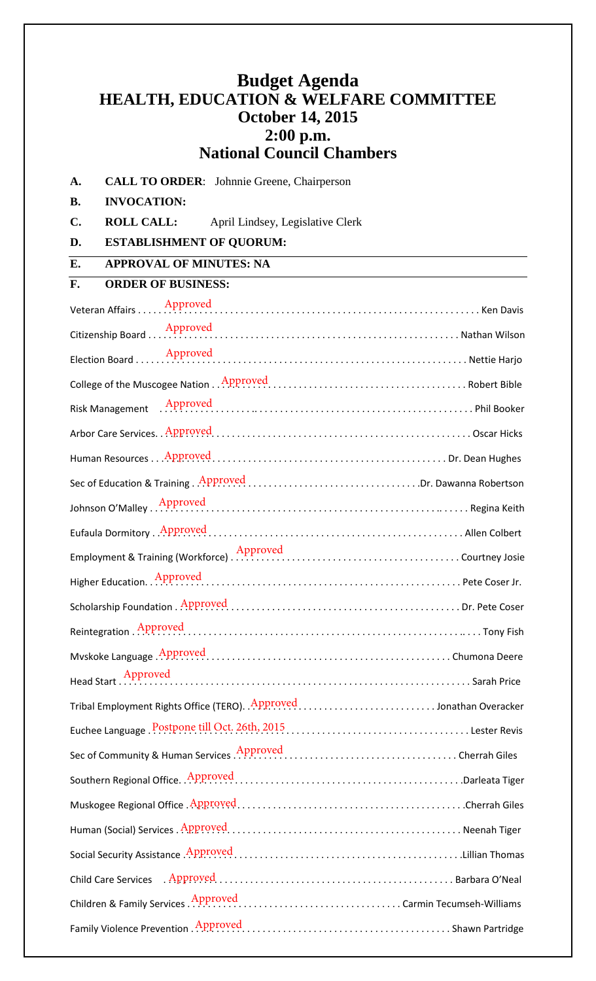## **Budget Agenda HEALTH, EDUCATION & WELFARE COMMITTEE October 14, 2015 2:00 p.m. National Council Chambers**

**A. CALL TO ORDER**: Johnnie Greene, Chairperson

**B. INVOCATION:**

**C. ROLL CALL:** April Lindsey, Legislative Clerk

**D. ESTABLISHMENT OF QUORUM:**

**E. APPROVAL OF MINUTES: NA**

## **F. ORDER OF BUSINESS:**

| Risk Management Approved Approved Approved Approved Approved Approved Approved Approved Approved Approved Approved Approved Approved Approved Approved Approved Approved Approved Approved Approved Approved Approved Approved |  |
|--------------------------------------------------------------------------------------------------------------------------------------------------------------------------------------------------------------------------------|--|
|                                                                                                                                                                                                                                |  |
|                                                                                                                                                                                                                                |  |
| Sec of Education & Training . Approved Dr. Dawanna Robertson                                                                                                                                                                   |  |
| Johnson O'Malley Approved Approved Approved Community Approved Bank Community Approved Bank Community Approved                                                                                                                 |  |
|                                                                                                                                                                                                                                |  |
|                                                                                                                                                                                                                                |  |
| Higher Education. Approved Manuscript Approved Manuscript Approved Tr.                                                                                                                                                         |  |
|                                                                                                                                                                                                                                |  |
|                                                                                                                                                                                                                                |  |
|                                                                                                                                                                                                                                |  |
|                                                                                                                                                                                                                                |  |
| Tribal Employment Rights Office (TERO). Approved Jonathan Overacker                                                                                                                                                            |  |
|                                                                                                                                                                                                                                |  |
| Sec of Community & Human Services Approved Materian Contract Cherrah Giles                                                                                                                                                     |  |
|                                                                                                                                                                                                                                |  |
|                                                                                                                                                                                                                                |  |
|                                                                                                                                                                                                                                |  |
|                                                                                                                                                                                                                                |  |
|                                                                                                                                                                                                                                |  |
|                                                                                                                                                                                                                                |  |
|                                                                                                                                                                                                                                |  |